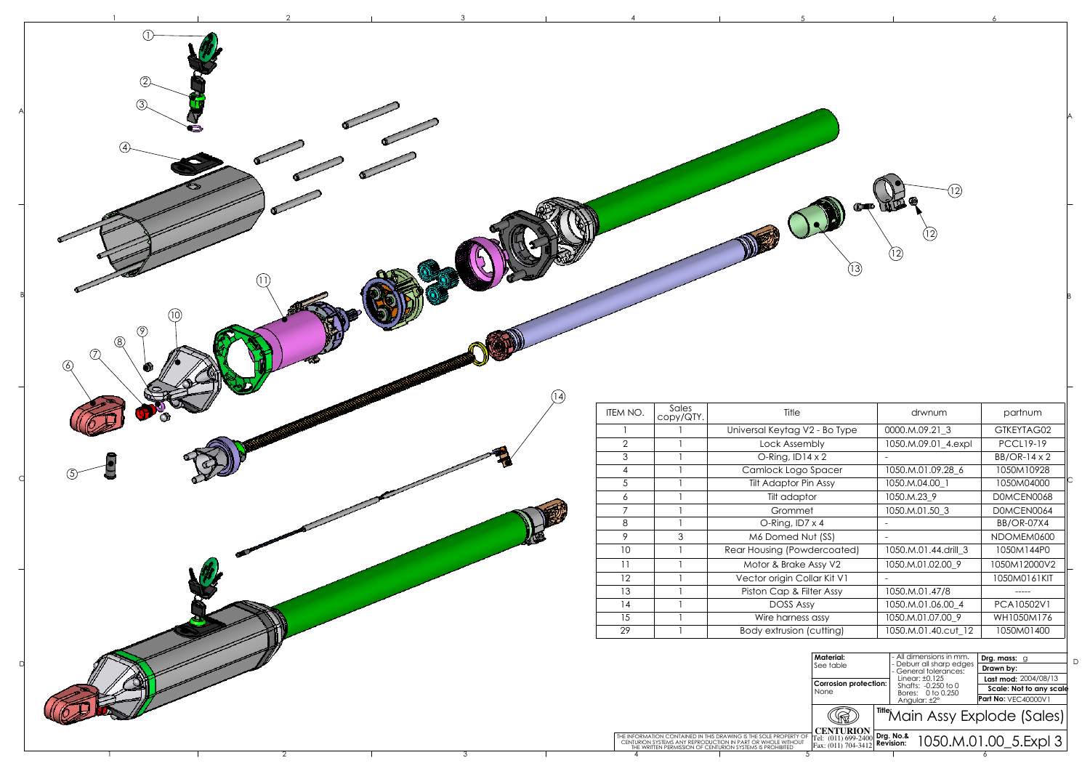

| ıterial:                                           |  | - All dimensions in mm.<br>- Deburr all sharp edges<br>- General tolerances: |  |                         | Drg. mass: g               |  |  |
|----------------------------------------------------|--|------------------------------------------------------------------------------|--|-------------------------|----------------------------|--|--|
| e table                                            |  |                                                                              |  |                         | Drawn by:                  |  |  |
| rrosion protection:<br>ne                          |  | Linear: $±0.125$<br>Shafts: -0.250 to 0<br>Bores: 0 to 0.250<br>Angular: ±2° |  | Last mod: 2004/08/13    |                            |  |  |
|                                                    |  |                                                                              |  | Scale: Not to any scale |                            |  |  |
|                                                    |  |                                                                              |  |                         | <b>Part No: VEC40000V1</b> |  |  |
|                                                    |  | TitleMain Assy Explode (Sales)                                               |  |                         |                            |  |  |
| ENTURION<br>$(011)$ 699-2400<br>$(011) 704 - 3412$ |  | Drg. No.&<br>1050.M.01.00 5.Expl 3<br><b>Revision:</b>                       |  |                         |                            |  |  |

| drwnum                  | partnum                  |   |
|-------------------------|--------------------------|---|
| 0000.M.09.21_3          | GTKEYTAG02               |   |
| 1050.M.09.01_4.expl     | <b>PCCL19-19</b>         |   |
|                         | BB/OR-14 x 2             |   |
| 1050.M.01.09.28_6       | 1050M10928               |   |
| 1050.M.04.00_1          | 1050M04000               |   |
| 1050.M.23_9             | DOMCEN0068               |   |
| 1050.M.01.50_3          | DOMCEN0064               |   |
|                         | <b>BB/OR-07X4</b>        |   |
|                         | NDOMEM0600               |   |
| 1050.M.01.44.drill_3    | 1050M144P0               |   |
| 1050.M.01.02.00_9       | 1050M12000V2             |   |
|                         | 1050M0161KIT             |   |
| 1050.M.01.47/8          |                          |   |
| 1050.M.01.06.00_4       | PCA10502V1               |   |
| 1050.M.01.07.00_9       | WH1050M176               |   |
| 1050.M.01.40.cut 12     | 1050M01400               |   |
|                         |                          |   |
| - All dimensions in mm. | Drg. mass:<br>g          | D |
|                         | - Deburr all sharp edaes |   |

A

B

A

B